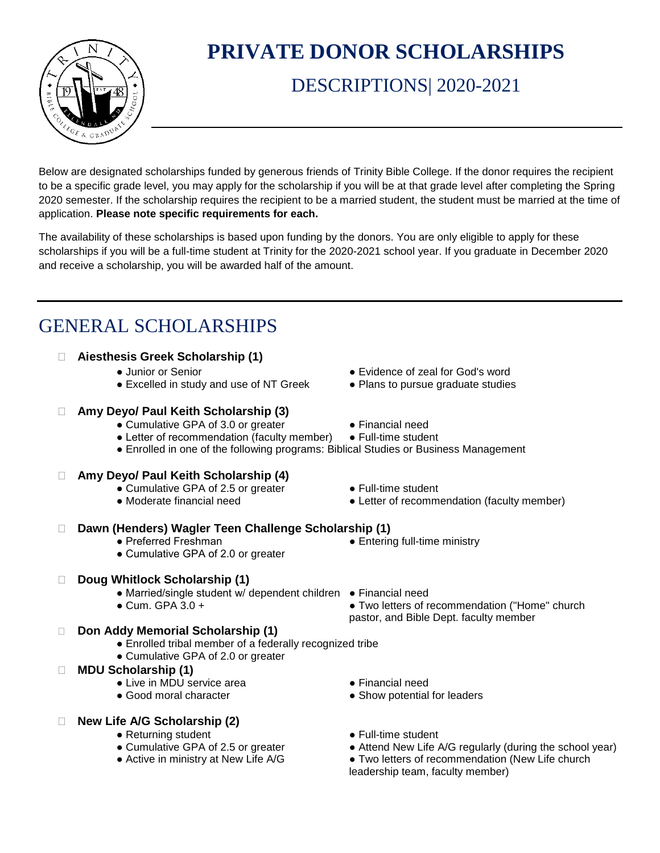

# **PRIVATE DONOR SCHOLARSHIPS**

## DESCRIPTIONS| 2020-2021

Below are designated scholarships funded by generous friends of Trinity Bible College. If the donor requires the recipient to be a specific grade level, you may apply for the scholarship if you will be at that grade level after completing the Spring 2020 semester. If the scholarship requires the recipient to be a married student, the student must be married at the time of application. **Please note specific requirements for each.**

The availability of these scholarships is based upon funding by the donors. You are only eligible to apply for these scholarships if you will be a full-time student at Trinity for the 2020-2021 school year. If you graduate in December 2020 and receive a scholarship, you will be awarded half of the amount.

## GENERAL SCHOLARSHIPS

#### **Aiesthesis Greek Scholarship (1)**

- Junior or Senior exidence of zeal for God's word
- Excelled in study and use of NT Greek Plans to pursue graduate studies

#### **Amy Deyo/ Paul Keith Scholarship (3)**

- Cumulative GPA of 3.0 or greater Financial need
- 
- Letter of recommendation (faculty member) Full-time student
- Enrolled in one of the following programs: Biblical Studies or Business Management

### **Amy Deyo/ Paul Keith Scholarship (4)**

- Cumulative GPA of 2.5 or greater • Full-time student
- 
- 
- Moderate financial need Letter of recommendation (faculty member)

• Two letters of recommendation ("Home" church

pastor, and Bible Dept. faculty member

### **Dawn (Henders) Wagler Teen Challenge Scholarship (1)**

- Preferred Freshman  **Entering full-time ministry**
- Cumulative GPA of 2.0 or greater

### **Doug Whitlock Scholarship (1)**

- Married/single student w/ dependent children Financial need<br>● Cum. GPA 3.0 +
- 
- **Don Addy Memorial Scholarship (1)**
	- Enrolled tribal member of a federally recognized tribe
	- Cumulative GPA of 2.0 or greater

#### **MDU Scholarship (1)**

- Live in MDU service area  **Production → Financial need**
- Good moral character <br>• Show potential for leaders

### **New Life A/G Scholarship (2)**

- 
- Returning student <br>● Full-time student Cumulative GPA of 2.5 or greater Attend New Life A
- 
- 
- 
- 
- 
- Attend New Life A/G regularly (during the school year)
- Active in ministry at New Life A/G Two letters of recommendation (New Life church leadership team, faculty member)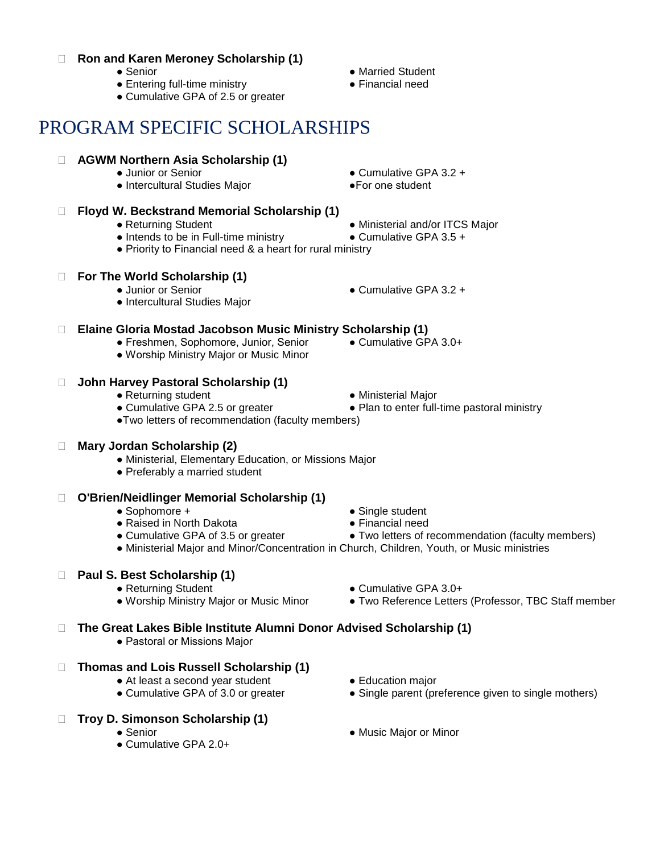#### **Ron and Karen Meroney Scholarship (1)**

- Senior Married Student
- Entering full-time ministry Financial need
- Cumulative GPA of 2.5 or greater

## PROGRAM SPECIFIC SCHOLARSHIPS

- **AGWM Northern Asia Scholarship (1)**
	-
	- Intercultural Studies Major ●For one student
- **Floyd W. Beckstrand Memorial Scholarship (1)**
	-
	- Intends to be in Full-time ministry Cumulative GPA 3.5 +
	- Priority to Financial need & a heart for rural ministry

## **For The World Scholarship (1)**

- Junior or Senior 2012 → Cumulative GPA 3.2 →
- Intercultural Studies Major

## **Elaine Gloria Mostad Jacobson Music Ministry Scholarship (1)**

- Freshmen, Sophomore, Junior, Senior Cumulative GPA 3.0+
- Worship Ministry Major or Music Minor

## **John Harvey Pastoral Scholarship (1)**

- 
- 
- ●Two letters of recommendation (faculty members)

## **Mary Jordan Scholarship (2)**

- Ministerial, Elementary Education, or Missions Major
- Preferably a married student

## **O'Brien/Neidlinger Memorial Scholarship (1)**

- 
- 
- 

## **Paul S. Best Scholarship (1)**

- Returning Student Cumulative GPA 3.0+
- Worship Ministry Major or Music Minor Two Reference Letters (Professor, TBC Staff member

## **The Great Lakes Bible Institute Alumni Donor Advised Scholarship (1)**

- Pastoral or Missions Major
- **Thomas and Lois Russell Scholarship (1)**
	- At least a second year student Education major
	-
- **Troy D. Simonson Scholarship (1)**
	-
	- Cumulative GPA 2.0+
- 
- Cumulative GPA of 3.0 or greater Single parent (preference given to single mothers)
- Senior Nusic Major or Minor
- 
- 
- 
- 
- Cumulative GPA 2.5 or greater • • Plan to enter full-time pastoral ministry
	-
- Junior or Senior **business Cumulative GPA 3.2 +** 
	-
	-
- Returning Student **business and a Ministerial and/or ITCS Major** 
	-
	-

- -
- 
- 
- Returning student Ninisterial Major
- -
	- - $\bullet$  Single student
		-
- - - -
		- -
		- - -
		-
- Raised in North Dakota  **Financial need** 
	-
- Cumulative GPA of 3.5 or greater • Two letters of recommendation (faculty members)
- 
- -
- -
- Ministerial Major and Minor/Concentration in Church, Children, Youth, or Music ministries